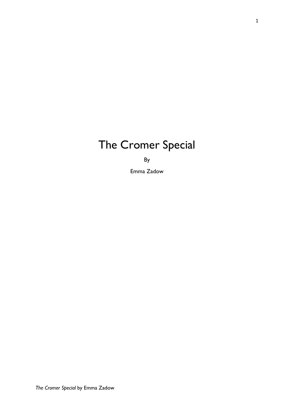# The Cromer Special

By

Emma Zadow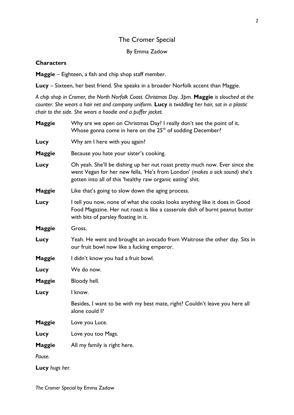## The Cromer Special

## By Emma Zadow

## **Characters**

Maggie – Eighteen, a fish and chip shop staff member.

Lucy – Sixteen, her best friend. She speaks in a broader Norfolk accent than Maggie.

*A chip shop in Cromer, the North Norfolk Coast. Christmas Day. 3pm.* Maggie *is slouched at the counter. She wears a hair net and company uniform.* Lucy *is twiddling her hair, sat in a plastic chair to the side. She wears a hoodie and a puffer jacket.*

| <b>Maggie</b>  | Why are we open on Christmas Day? I really don't see the point of it.<br>Whose gonna come in here on the 25 <sup>th</sup> of sodding December?                                                                           |
|----------------|--------------------------------------------------------------------------------------------------------------------------------------------------------------------------------------------------------------------------|
| Lucy           | Why am I here with you again?                                                                                                                                                                                            |
| <b>Maggie</b>  | Because you hate your sister's cooking.                                                                                                                                                                                  |
| Lucy           | Oh yeah. She'll be dishing up her nut roast pretty much now. Ever since she<br>went Vegan for her new fella, 'He's from London' (makes a sick sound) she's<br>gotten into all of this 'healthy raw organic eating' shit. |
| <b>Maggie</b>  | Like that's going to slow down the aging process.                                                                                                                                                                        |
| Lucy           | I tell you now, none of what she cooks looks anything like it does in Good<br>Food Magazine. Her nut roast is like a casserole dish of burnt peanut butter<br>with bits of parsley floating in it.                       |
| <b>Maggie</b>  | Gross.                                                                                                                                                                                                                   |
| Lucy           | Yeah. He went and brought an avocado from Waitrose the other day. Sits in<br>our fruit bowl now like a fucking emperor.                                                                                                  |
| <b>Maggie</b>  | I didn't know you had a fruit bowl.                                                                                                                                                                                      |
| Lucy           | We do now.                                                                                                                                                                                                               |
| <b>Maggie</b>  | Bloody hell.                                                                                                                                                                                                             |
| Lucy           | I know.                                                                                                                                                                                                                  |
|                | Besides, I want to be with my best mate, right? Couldn't leave you here all<br>alone could I?                                                                                                                            |
| <b>Maggie</b>  | Love you Luce.                                                                                                                                                                                                           |
| Lucy           | Love you too Mags.                                                                                                                                                                                                       |
| <b>Maggie</b>  | All my family is right here.                                                                                                                                                                                             |
| Pause.         |                                                                                                                                                                                                                          |
| Lucy hugs her. |                                                                                                                                                                                                                          |

*The Cromer Special* by Emma Zadow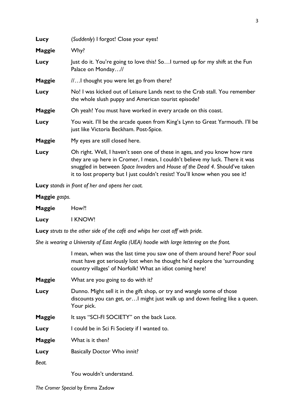| Just do it. You're going to love this! SoI turned up for my shift at the Fun                                                                                                                                                                                                                                              |
|---------------------------------------------------------------------------------------------------------------------------------------------------------------------------------------------------------------------------------------------------------------------------------------------------------------------------|
|                                                                                                                                                                                                                                                                                                                           |
| No! I was kicked out of Leisure Lands next to the Crab stall. You remember                                                                                                                                                                                                                                                |
|                                                                                                                                                                                                                                                                                                                           |
| You wait. I'll be the arcade queen from King's Lynn to Great Yarmouth. I'll be                                                                                                                                                                                                                                            |
|                                                                                                                                                                                                                                                                                                                           |
| Oh right. Well, I haven't seen one of these in ages, and you know how rare<br>they are up here in Cromer, I mean, I couldn't believe my luck. There it was<br>snuggled in between Space Invaders and House of the Dead 4. Should've taken<br>it to lost property but I just couldn't resist! You'll know when you see it! |
|                                                                                                                                                                                                                                                                                                                           |

Lucy *stands in front of her and opens her coat.* 

| Maggie gasps. |  |
|---------------|--|
|---------------|--|

| <b>Maggie</b> | How!!   |
|---------------|---------|
| Lucy          | I KNOW! |

Lucy *struts to the other side of the café and whips her coat off with pride.* 

*She is wearing a University of East Anglia (UEA) hoodie with large lettering on the front.*

|               | I mean, when was the last time you saw one of them around here? Poor soul<br>must have got seriously lost when he thought he'd explore the 'surrounding<br>country villages' of Norfolk! What an idiot coming here! |
|---------------|---------------------------------------------------------------------------------------------------------------------------------------------------------------------------------------------------------------------|
| <b>Maggie</b> | What are you going to do with it?                                                                                                                                                                                   |
| Lucy          | Dunno. Might sell it in the gift shop, or try and wangle some of those<br>discounts you can get, or I might just walk up and down feeling like a queen.<br>Your pick.                                               |
| <b>Maggie</b> | It says "SCI-FI SOCIETY" on the back Luce.                                                                                                                                                                          |
| Lucy          | I could be in Sci Fi Society if I wanted to.                                                                                                                                                                        |
| <b>Maggie</b> | What is it then?                                                                                                                                                                                                    |
| Lucy          | <b>Basically Doctor Who innit?</b>                                                                                                                                                                                  |
| Beat.         |                                                                                                                                                                                                                     |

You wouldn't understand.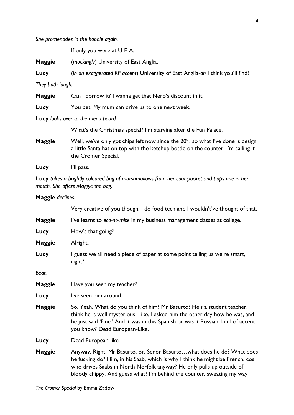*She promenades in the hoodie again.*

If only you were at U-E-A.

Maggie (*mockingly*) University of East Anglia.

Lucy (*in an exaggerated RP accent*) University of East Anglia-*ah* I think you'll find!

*They both laugh.* 

Maggie Can I borrow it? I wanna get that Nero's discount in it.

Lucy You bet. My mum can drive us to one next week.

Lucy *looks over to the menu board.* 

What's the Christmas special? I'm starving after the Fun Palace.

**Maggie** Well, we've only got chips left now since the  $20<sup>th</sup>$ , so what I've done is design a little Santa hat on top with the ketchup bottle on the counter. I'm calling it the Cromer Special.

Lucy l'Il pass.

Lucy *takes a brightly coloured bag of marshmallows from her coat pocket and pops one in her mouth. She offers Maggie the bag.* 

#### Maggie *declines.*

|               | Very creative of you though. I do food tech and I wouldn't've thought of that.                                                                                                                                                                                                                             |
|---------------|------------------------------------------------------------------------------------------------------------------------------------------------------------------------------------------------------------------------------------------------------------------------------------------------------------|
| <b>Maggie</b> | I've learnt to eco-no-mise in my business management classes at college.                                                                                                                                                                                                                                   |
| Lucy          | How's that going?                                                                                                                                                                                                                                                                                          |
| <b>Maggie</b> | Alright.                                                                                                                                                                                                                                                                                                   |
| Lucy          | I guess we all need a piece of paper at some point telling us we're smart,<br>right?                                                                                                                                                                                                                       |
| Beat.         |                                                                                                                                                                                                                                                                                                            |
| <b>Maggie</b> | Have you seen my teacher?                                                                                                                                                                                                                                                                                  |
| Lucy          | l've seen him around.                                                                                                                                                                                                                                                                                      |
| <b>Maggie</b> | So. Yeah. What do you think of him? Mr Basurto? He's a student teacher. I<br>think he is well mysterious. Like, I asked him the other day how he was, and<br>he just said 'Fine.' And it was in this Spanish or was it Russian, kind of accent<br>you know? Dead European-Like.                            |
| Lucy          | Dead European-like.                                                                                                                                                                                                                                                                                        |
| <b>Maggie</b> | Anyway. Right. Mr Basurto, or, Senor Basurtowhat does he do? What does<br>he fucking do? Him, in his Saab, which is why I think he might be French, cos<br>who drives Saabs in North Norfolk anyway? He only pulls up outside of<br>bloody chippy. And guess what? I'm behind the counter, sweating my way |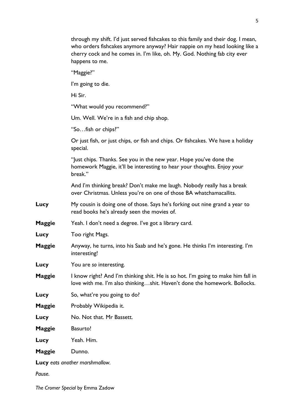|               | through my shift. I'd just served fishcakes to this family and their dog. I mean,<br>who orders fishcakes anymore anyway? Hair nappie on my head looking like a<br>cherry cock and he comes in. I'm like, oh. My. God. Nothing fab city ever<br>happens to me. |
|---------------|----------------------------------------------------------------------------------------------------------------------------------------------------------------------------------------------------------------------------------------------------------------|
|               | "Maggie?"                                                                                                                                                                                                                                                      |
|               | I'm going to die.                                                                                                                                                                                                                                              |
|               | Hi Sir.                                                                                                                                                                                                                                                        |
|               | "What would you recommend?"                                                                                                                                                                                                                                    |
|               | Um. Well. We're in a fish and chip shop.                                                                                                                                                                                                                       |
|               | "Sofish or chips?"                                                                                                                                                                                                                                             |
|               | Or just fish, or just chips, or fish and chips. Or fishcakes. We have a holiday<br>special.                                                                                                                                                                    |
|               | "Just chips. Thanks. See you in the new year. Hope you've done the<br>homework Maggie, it'll be interesting to hear your thoughts. Enjoy your<br>break."                                                                                                       |
|               | And I'm thinking break? Don't make me laugh. Nobody really has a break<br>over Christmas. Unless you're on one of those BA whatchamacallits.                                                                                                                   |
| Lucy          | My cousin is doing one of those. Says he's forking out nine grand a year to<br>read books he's already seen the movies of.                                                                                                                                     |
| Maggie        | Yeah. I don't need a degree. I've got a library card.                                                                                                                                                                                                          |
| Lucy          | Too right Mags.                                                                                                                                                                                                                                                |
| Maggie        | Anyway, he turns, into his Saab and he's gone. He thinks I'm interesting. I'm<br>interesting!                                                                                                                                                                  |
| Lucy          | You are so interesting.                                                                                                                                                                                                                                        |
| <b>Maggie</b> | I know right? And I'm thinking shit. He is so hot. I'm going to make him fall in<br>love with me. I'm also thinkingshit. Haven't done the homework. Bollocks.                                                                                                  |
| Lucy          | So, what're you going to do?                                                                                                                                                                                                                                   |
| Maggie        | Probably Wikipedia it.                                                                                                                                                                                                                                         |
| Lucy          | No. Not that. Mr Bassett.                                                                                                                                                                                                                                      |
| Maggie        | <b>Basurto!</b>                                                                                                                                                                                                                                                |
| Lucy          | Yeah. Him.                                                                                                                                                                                                                                                     |
| Maggie        | Dunno.                                                                                                                                                                                                                                                         |
|               |                                                                                                                                                                                                                                                                |

Lucy *eats another marshmallow.*

*Pause.*

*The Cromer Special* by Emma Zadow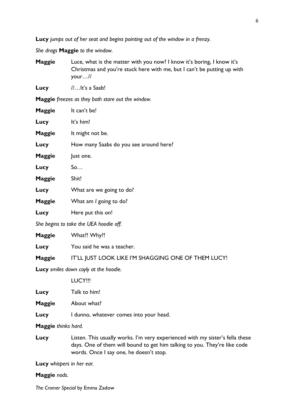Lucy *jumps out of her seat and begins pointing out of the window in a frenzy.* 

*She drags* Maggie *to the window.* 

Maggie Luce, what is the matter with you now? I know it's boring, I know it's Christmas and you're stuck here with me, but I can't be putting up with your…//

Lucy //...lt's a Saab!

Maggie *freezes as they both stare out the window.*

| Maggie        | It can't be!                           |
|---------------|----------------------------------------|
| Lucy          | It's him!                              |
| <b>Maggie</b> | It might not be.                       |
| Lucy          | How many Saabs do you see around here? |
| Maggie        | Just one.                              |
| Lucy          | So                                     |
| Maggie        | Shit!                                  |
| Lucy          | What are we going to do?               |
| Maggie        | What am I going to do?                 |
| Lucy          | Here put this on!                      |
|               | She begins to take the UEA hoodie off. |
| Maggie        | What!! Why!!                           |

Maggie IT'LL JUST LOOK LIKE I'M SHAGGING ONE OF THEM LUCY!

Lucy *smiles down coyly at the hoodie.*

Lucy You said he was a teacher.

LUCY!!!

| Talk to him! |
|--------------|
|              |

Maggie About what?

Lucy I dunno, whatever comes into your head.

Maggie *thinks hard.* 

Lucy Listen. This usually works. I'm very experienced with my sister's fella these days. One of them will bound to get him talking to you. They're like code words. Once I say one, he doesn't stop.

Lucy *whispers in her ear.*

### Maggie *nods.*

*The Cromer Special* by Emma Zadow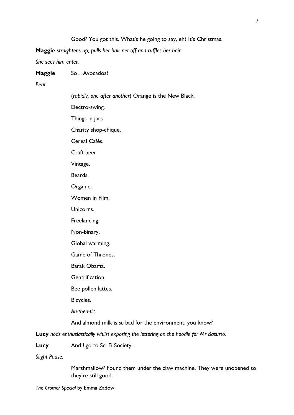Maggie *straightens up, pulls her hair net off and ruffles her hair.* 

*She sees him enter.* 

### Maggie So...Avocados?

*Beat.*

(*rapidly, one after another*) Orange is the New Black. Electro-swing. Things in jars. Charity shop-chique. Cereal Cafés. Craft beer. Vintage. Beards. Organic. Women in Film. Unicorns. Freelancing. Non-binary. Global warming. Game of Thrones. Barak Obama. Gentrification. Bee pollen lattes. Bicycles. *Au-then-tic.* And almond milk is *so* bad for the environment, you know? Lucy *nods enthusiastically whilst exposing the lettering on the hoodie for Mr Basurto.* 

Lucy And *I* go to Sci Fi Society.

*Slight Pause.*

Marshmallow? Found them under the claw machine. They were unopened so they're still good.